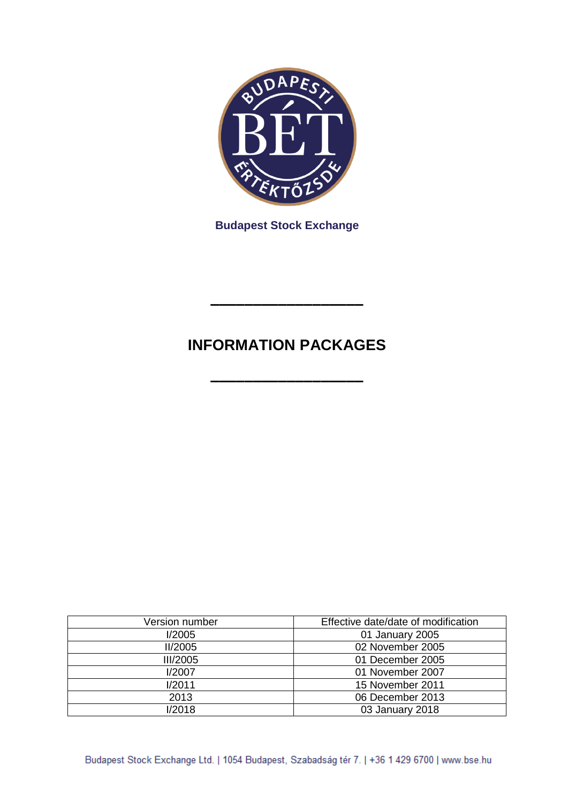

**Budapest Stock Exchange**

# **INFORMATION PACKAGES**

**––––––––––––––––––**

**––––––––––––––––––**

| Version number  | Effective date/date of modification |
|-----------------|-------------------------------------|
| I/2005          | 01 January 2005                     |
| II/2005         | 02 November 2005                    |
| <b>III/2005</b> | 01 December 2005                    |
| I/2007          | 01 November 2007                    |
| I/2011          | 15 November 2011                    |
| 2013            | 06 December 2013                    |
| 1/2018          | 03 January 2018                     |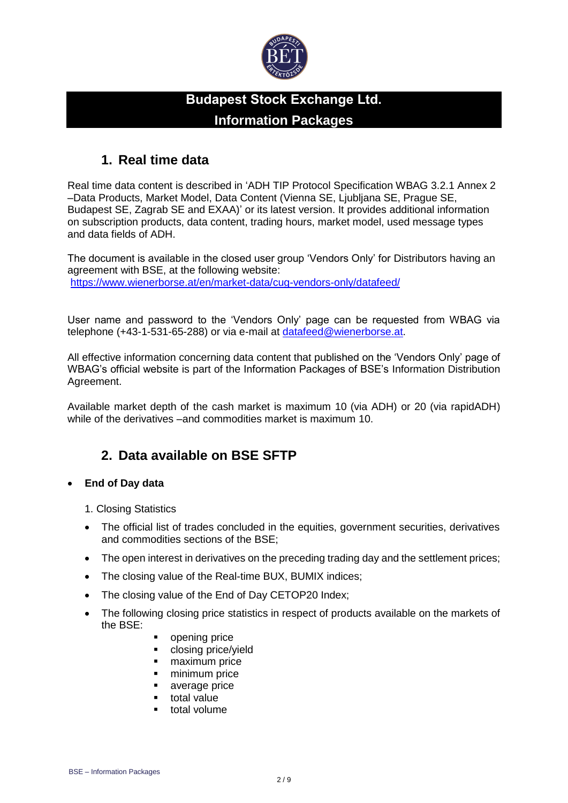

# **Budapest Stock Exchange Ltd. Information Packages**

### **1. Real time data**

Real time data content is described in 'ADH TIP Protocol Specification WBAG 3.2.1 Annex 2 –Data Products, Market Model, Data Content (Vienna SE, Ljubljana SE, Prague SE, Budapest SE, Zagrab SE and EXAA)' or its latest version. It provides additional information on subscription products, data content, trading hours, market model, used message types and data fields of ADH.

The document is available in the closed user group 'Vendors Only' for Distributors having an agreement with BSE, at the following website: <https://www.wienerborse.at/en/market-data/cug-vendors-only/datafeed/>

User name and password to the 'Vendors Only' page can be requested from WBAG via telephone (+43-1-531-65-288) or via e-mail at [datafeed@wienerborse.at.](mailto:datafeed@wienerborse.at)

All effective information concerning data content that published on the 'Vendors Only' page of WBAG's official website is part of the Information Packages of BSE's Information Distribution Agreement.

Available market depth of the cash market is maximum 10 (via ADH) or 20 (via rapidADH) while of the derivatives –and commodities market is maximum 10.

# **2. Data available on BSE SFTP**

#### • **End of Day data**

- 1. Closing Statistics
- The official list of trades concluded in the equities, government securities, derivatives and commodities sections of the BSE;
- The open interest in derivatives on the preceding trading day and the settlement prices;
- The closing value of the Real-time BUX, BUMIX indices;
- The closing value of the End of Day CETOP20 Index;
- The following closing price statistics in respect of products available on the markets of the BSE:
	- opening price
	- closing price/yield
	- maximum price
	- minimum price
	- average price
	- total value
	- total volume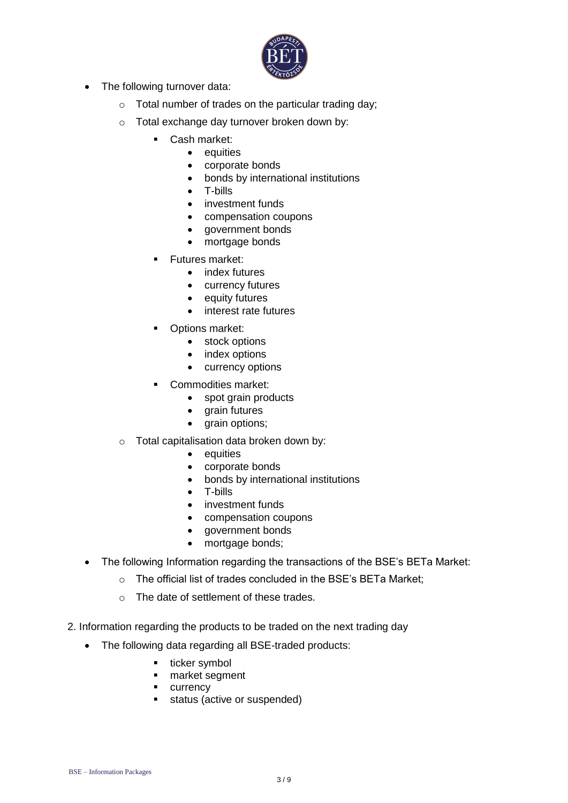

- The following turnover data:
	- o Total number of trades on the particular trading day;
	- o Total exchange day turnover broken down by:
		- Cash market:
			- equities
			- corporate bonds
			- bonds by international institutions
			- T-bills
			- investment funds
			- compensation coupons
			- government bonds
			- mortgage bonds
		- **Futures market:** 
			- index futures
			- currency futures
			- equity futures
			- interest rate futures
		- Options market:
			- stock options
			- index options
			- currency options
		- Commodities market:
			- spot grain products
			- grain futures
			- grain options;
	- o Total capitalisation data broken down by:
		- equities
		- corporate bonds
		- bonds by international institutions
		- T-bills
		- investment funds
		- compensation coupons
		- government bonds
		- mortgage bonds;
- The following Information regarding the transactions of the BSE's BETa Market:
	- o The official list of trades concluded in the BSE's BETa Market;
	- o The date of settlement of these trades.
- 2. Information regarding the products to be traded on the next trading day
	- The following data regarding all BSE-traded products:
		- ticker symbol
		- market segment
		- currency
		- status (active or suspended)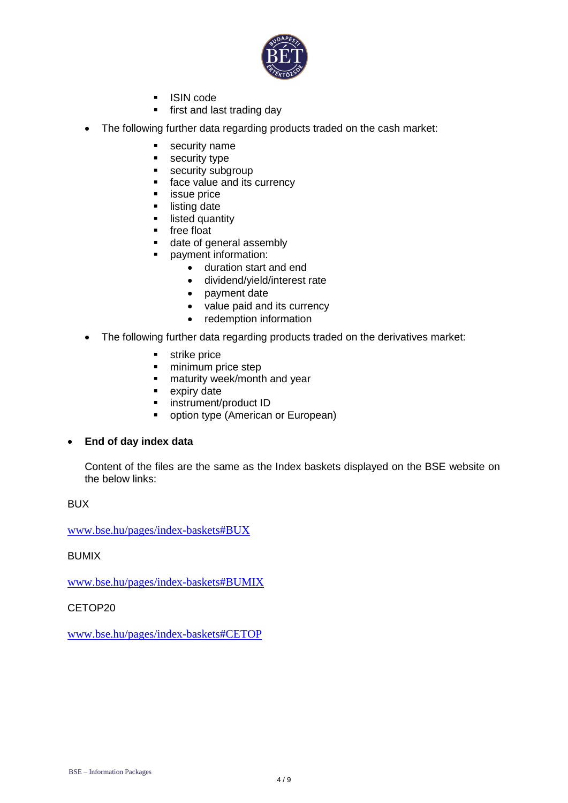

- ISIN code
- **·** first and last trading day
- The following further data regarding products traded on the cash market:
	- security name
	- security type
	- **EXECUTE SECUTELY** subgroup
	- face value and its currency
	- **EXECUTE:** ISSUE price
	- listing date
	- **■** listed quantity
	- free float
	- date of general assembly
	- payment information:
		- duration start and end
		- dividend/yield/interest rate
		- payment date
		- value paid and its currency
		- redemption information
- The following further data regarding products traded on the derivatives market:
	- strike price
	- **·** minimum price step
	- **■** maturity week/month and year
	- expiry date
	- **·** instrument/product ID
	- option type (American or European)

#### • **End of day index data**

Content of the files are the same as the Index baskets displayed on the BSE website on the below links:

BUX

[www.bse.hu/pages/index-baskets#BUX](http://www.bse.hu/pages/index-baskets#BUX)

#### BUMIX

[www.bse.hu/pages/index-baskets#BUMIX](http://www.bse.hu/pages/index-baskets#BUMIX)

CETOP20

[www.bse.hu/pages/index-baskets#CETOP](http://www.bse.hu/pages/index-baskets#CETOP)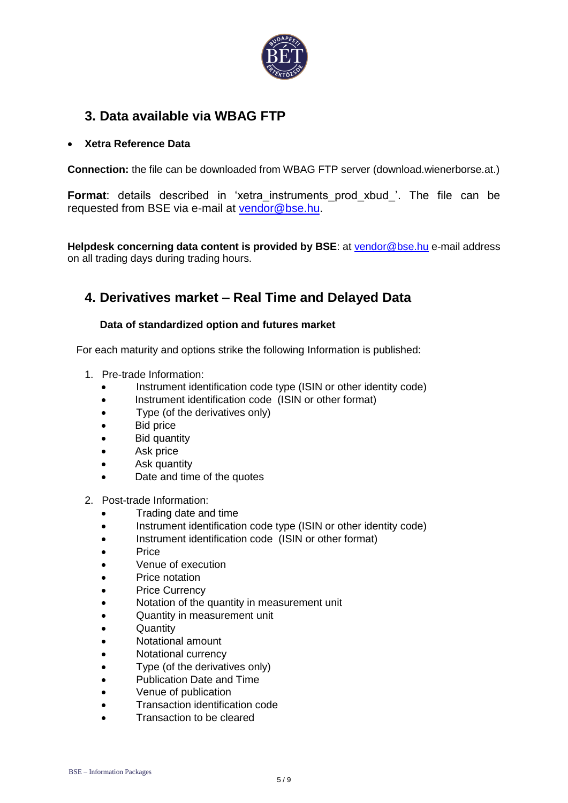

# **3. Data available via WBAG FTP**

#### • **Xetra Reference Data**

**Connection:** the file can be downloaded from WBAG FTP server (download.wienerborse.at.)

**Format:** details described in 'xetra instruments prod xbud '. The file can be requested from BSE via e-mail at [vendor@bse.hu.](mailto:vendor@bse.hu)

**Helpdesk concerning data content is provided by BSE**: at [vendor@bse.hu](mailto:vendor@bse.hu) e-mail address on all trading days during trading hours.

# **4. Derivatives market – Real Time and Delayed Data**

#### **Data of standardized option and futures market**

For each maturity and options strike the following Information is published:

- 1. Pre-trade Information:
	- Instrument identification code type (ISIN or other identity code)
	- Instrument identification code (ISIN or other format)
	- Type (of the derivatives only)
	- Bid price
	- Bid quantity
	- Ask price
	- Ask quantity
	- Date and time of the quotes
- 2. Post-trade Information:
	- Trading date and time
	- Instrument identification code type (ISIN or other identity code)
	- Instrument identification code (ISIN or other format)
	- Price
	- Venue of execution
	- Price notation
	- Price Currency
	- Notation of the quantity in measurement unit
	- Quantity in measurement unit
	- Quantity
	- Notational amount
	- Notational currency
	- Type (of the derivatives only)
	- Publication Date and Time
	- Venue of publication
	- Transaction identification code
	- Transaction to be cleared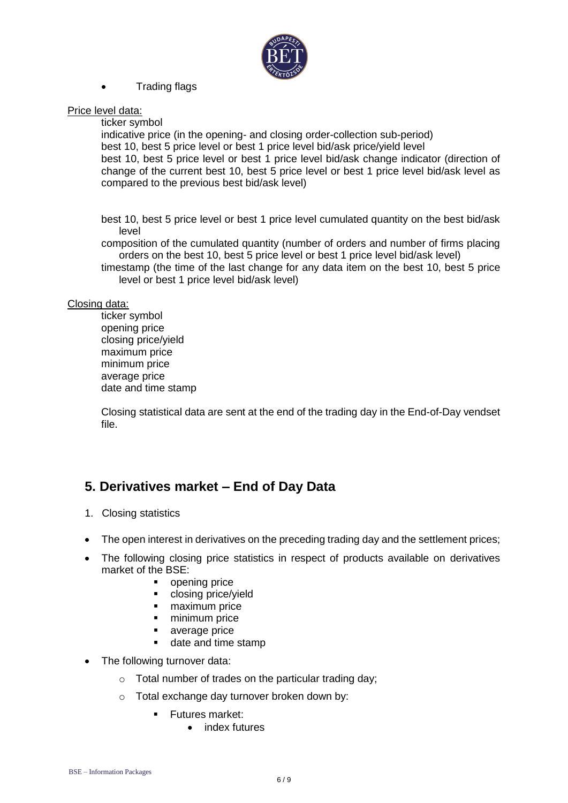

#### • Trading flags

#### Price level data:

ticker symbol

indicative price (in the opening- and closing order-collection sub-period) best 10, best 5 price level or best 1 price level bid/ask price/yield level best 10, best 5 price level or best 1 price level bid/ask change indicator (direction of change of the current best 10, best 5 price level or best 1 price level bid/ask level as compared to the previous best bid/ask level)

best 10, best 5 price level or best 1 price level cumulated quantity on the best bid/ask level

composition of the cumulated quantity (number of orders and number of firms placing orders on the best 10, best 5 price level or best 1 price level bid/ask level)

timestamp (the time of the last change for any data item on the best 10, best 5 price level or best 1 price level bid/ask level)

#### Closing data:

ticker symbol opening price closing price/yield maximum price minimum price average price date and time stamp

Closing statistical data are sent at the end of the trading day in the End-of-Day vendset file.

# **5. Derivatives market – End of Day Data**

- 1. Closing statistics
- The open interest in derivatives on the preceding trading day and the settlement prices;
- The following closing price statistics in respect of products available on derivatives market of the BSE:
	- opening price
	- closing price/yield
	- **■** maximum price
	- minimum price
	- average price
	- date and time stamp
- The following turnover data:
	- o Total number of trades on the particular trading day;
	- o Total exchange day turnover broken down by:
		- Futures market:
			- index futures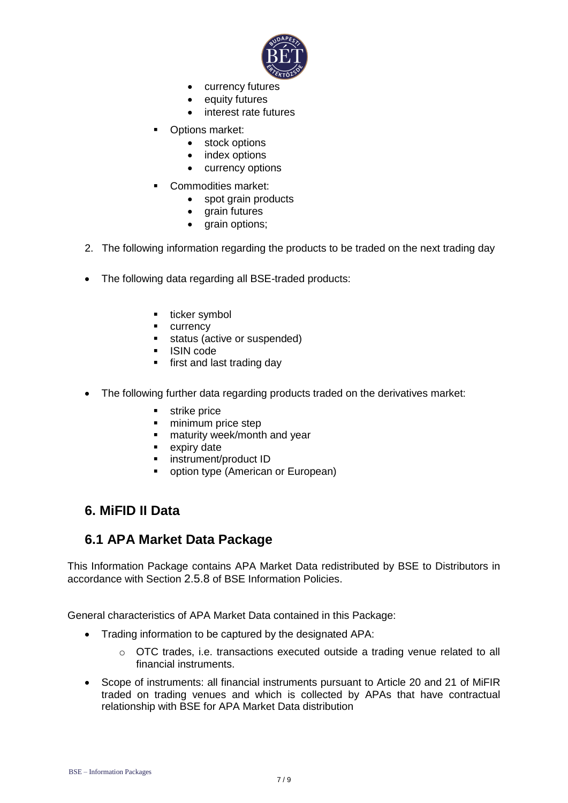

- currency futures
- equity futures
- interest rate futures
- Options market:
	- stock options
	- index options
	- currency options
- Commodities market:
	- spot grain products
	- grain futures
	- grain options;
- 2. The following information regarding the products to be traded on the next trading day
- The following data regarding all BSE-traded products:
	- ticker symbol
	- currency
	- status (active or suspended)
	- ISIN code
	- **■** first and last trading day
- The following further data regarding products traded on the derivatives market:
	- strike price
	- minimum price step
	- **■** maturity week/month and year
	- expiry date
	- instrument/product ID
	- option type (American or European)

### **6. MiFID II Data**

### **6.1 APA Market Data Package**

This Information Package contains APA Market Data redistributed by BSE to Distributors in accordance with Section 2.5.8 of BSE Information Policies.

General characteristics of APA Market Data contained in this Package:

- Trading information to be captured by the designated APA:
	- $\circ$  OTC trades, i.e. transactions executed outside a trading venue related to all financial instruments.
- Scope of instruments: all financial instruments pursuant to Article 20 and 21 of MiFIR traded on trading venues and which is collected by APAs that have contractual relationship with BSE for APA Market Data distribution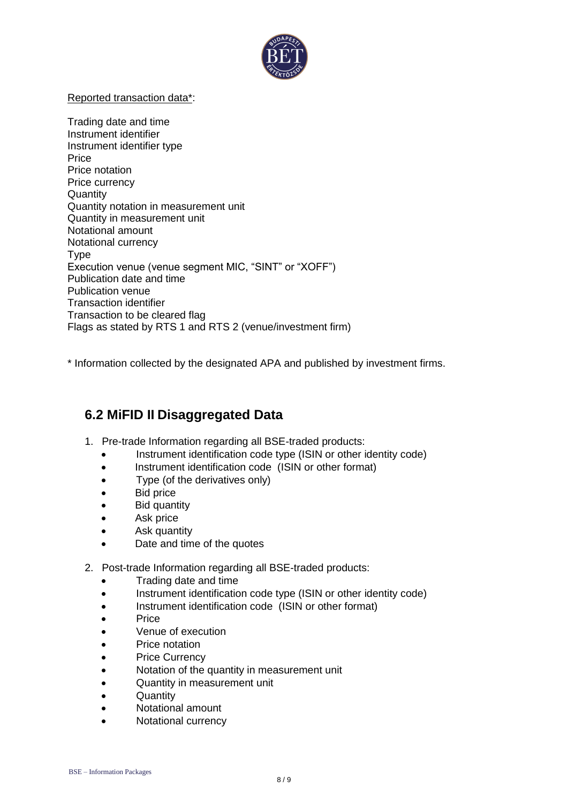

#### Reported transaction data\*:

Trading date and time Instrument identifier Instrument identifier type **Price** Price notation Price currency **Quantity** Quantity notation in measurement unit Quantity in measurement unit Notational amount Notational currency **T**<sub>vpe</sub> Execution venue (venue segment MIC, "SINT" or "XOFF") Publication date and time Publication venue Transaction identifier Transaction to be cleared flag Flags as stated by RTS 1 and RTS 2 (venue/investment firm)

\* Information collected by the designated APA and published by investment firms.

# **6.2 MiFID II Disaggregated Data**

- 1. Pre-trade Information regarding all BSE-traded products:
	- Instrument identification code type (ISIN or other identity code)
	- Instrument identification code (ISIN or other format)
	- Type (of the derivatives only)
	- Bid price
	- Bid quantity
	- Ask price
	- Ask quantity
	- Date and time of the quotes
- 2. Post-trade Information regarding all BSE-traded products:
	- Trading date and time
	- Instrument identification code type (ISIN or other identity code)
	- Instrument identification code (ISIN or other format)
	- Price
	- Venue of execution
	- Price notation
	- Price Currency
	- Notation of the quantity in measurement unit
	- Quantity in measurement unit
	- Quantity
	- Notational amount
	- Notational currency